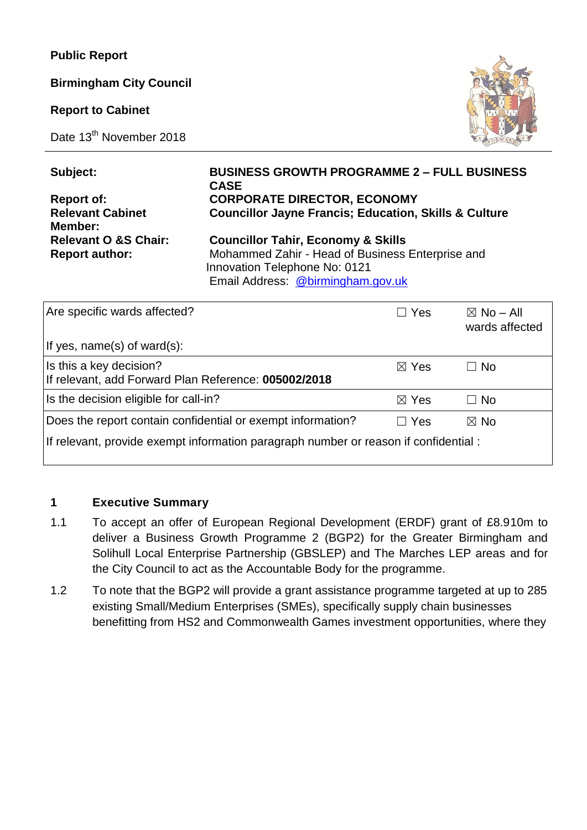**Public Report**

**Birmingham City Council** 

**Report to Cabinet**

Date 13<sup>th</sup> November 2018



| Subject:                        | <b>BUSINESS GROWTH PROGRAMME 2 - FULL BUSINESS</b><br><b>CASE</b>                                                      |
|---------------------------------|------------------------------------------------------------------------------------------------------------------------|
| <b>Report of:</b>               | <b>CORPORATE DIRECTOR, ECONOMY</b>                                                                                     |
| <b>Relevant Cabinet</b>         | <b>Councillor Jayne Francis; Education, Skills &amp; Culture</b>                                                       |
| Member:                         |                                                                                                                        |
| <b>Relevant O &amp;S Chair:</b> | <b>Councillor Tahir, Economy &amp; Skills</b>                                                                          |
| <b>Report author:</b>           | Mohammed Zahir - Head of Business Enterprise and<br>Innovation Telephone No: 0121<br>Email Address: @birmingham.gov.uk |

| Are specific wards affected?                                                         | $\Box$ Yes      | $\boxtimes$ No – All<br>wards affected |  |  |  |
|--------------------------------------------------------------------------------------|-----------------|----------------------------------------|--|--|--|
| If yes, name(s) of ward(s):                                                          |                 |                                        |  |  |  |
| Is this a key decision?<br>If relevant, add Forward Plan Reference: 005002/2018      | $\boxtimes$ Yes | $\Box$ No                              |  |  |  |
| Is the decision eligible for call-in?                                                | $\boxtimes$ Yes | $\Box$ No                              |  |  |  |
| Does the report contain confidential or exempt information?                          | $\Box$ Yes      | $\boxtimes$ No                         |  |  |  |
| If relevant, provide exempt information paragraph number or reason if confidential : |                 |                                        |  |  |  |

### **1 Executive Summary**

- 1.1 To accept an offer of European Regional Development (ERDF) grant of £8.910m to deliver a Business Growth Programme 2 (BGP2) for the Greater Birmingham and Solihull Local Enterprise Partnership (GBSLEP) and The Marches LEP areas and for the City Council to act as the Accountable Body for the programme.
- 1.2 To note that the BGP2 will provide a grant assistance programme targeted at up to 285 existing Small/Medium Enterprises (SMEs), specifically supply chain businesses benefitting from HS2 and Commonwealth Games investment opportunities, where they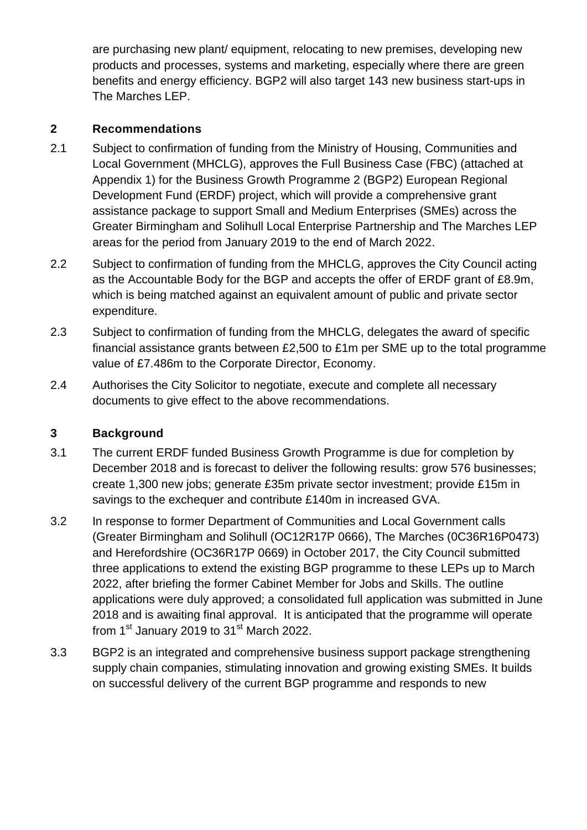are purchasing new plant/ equipment, relocating to new premises, developing new products and processes, systems and marketing, especially where there are green benefits and energy efficiency. BGP2 will also target 143 new business start-ups in The Marches LEP.

### **2 Recommendations**

- 2.1 Subject to confirmation of funding from the Ministry of Housing, Communities and Local Government (MHCLG), approves the Full Business Case (FBC) (attached at Appendix 1) for the Business Growth Programme 2 (BGP2) European Regional Development Fund (ERDF) project, which will provide a comprehensive grant assistance package to support Small and Medium Enterprises (SMEs) across the Greater Birmingham and Solihull Local Enterprise Partnership and The Marches LEP areas for the period from January 2019 to the end of March 2022.
- 2.2 Subject to confirmation of funding from the MHCLG, approves the City Council acting as the Accountable Body for the BGP and accepts the offer of ERDF grant of £8.9m, which is being matched against an equivalent amount of public and private sector expenditure.
- 2.3 Subject to confirmation of funding from the MHCLG, delegates the award of specific financial assistance grants between £2,500 to £1m per SME up to the total programme value of £7.486m to the Corporate Director, Economy.
- 2.4 Authorises the City Solicitor to negotiate, execute and complete all necessary documents to give effect to the above recommendations.

### **3 Background**

- 3.1 The current ERDF funded Business Growth Programme is due for completion by December 2018 and is forecast to deliver the following results: grow 576 businesses; create 1,300 new jobs; generate £35m private sector investment; provide £15m in savings to the exchequer and contribute £140m in increased GVA.
- 3.2 In response to former Department of Communities and Local Government calls (Greater Birmingham and Solihull (OC12R17P 0666), The Marches (0C36R16P0473) and Herefordshire (OC36R17P 0669) in October 2017, the City Council submitted three applications to extend the existing BGP programme to these LEPs up to March 2022, after briefing the former Cabinet Member for Jobs and Skills. The outline applications were duly approved; a consolidated full application was submitted in June 2018 and is awaiting final approval. It is anticipated that the programme will operate from 1st January 2019 to  $31<sup>st</sup>$  March 2022.
- 3.3 BGP2 is an integrated and comprehensive business support package strengthening supply chain companies, stimulating innovation and growing existing SMEs. It builds on successful delivery of the current BGP programme and responds to new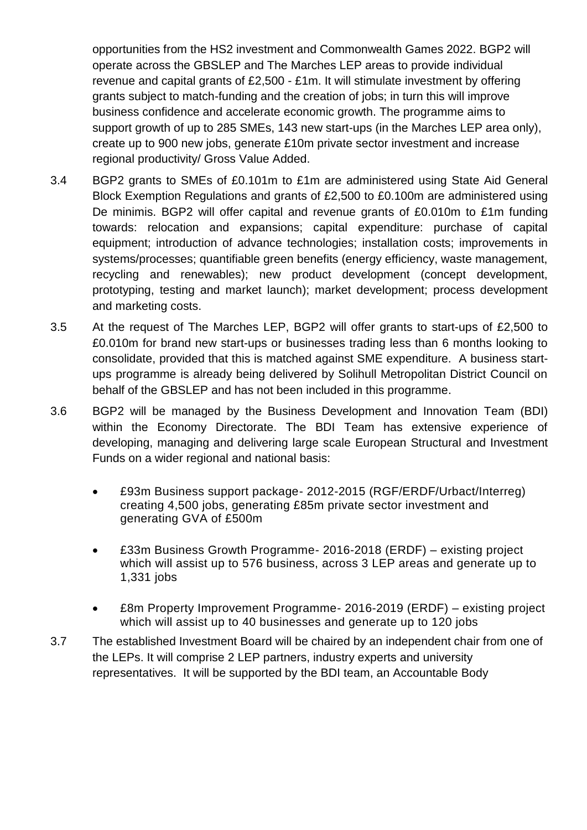opportunities from the HS2 investment and Commonwealth Games 2022. BGP2 will operate across the GBSLEP and The Marches LEP areas to provide individual revenue and capital grants of £2,500 - £1m. It will stimulate investment by offering grants subject to match-funding and the creation of jobs; in turn this will improve business confidence and accelerate economic growth. The programme aims to support growth of up to 285 SMEs, 143 new start-ups (in the Marches LEP area only), create up to 900 new jobs, generate £10m private sector investment and increase regional productivity/ Gross Value Added.

- 3.4 BGP2 grants to SMEs of £0.101m to £1m are administered using State Aid General Block Exemption Regulations and grants of £2,500 to £0.100m are administered using De minimis. BGP2 will offer capital and revenue grants of £0.010m to £1m funding towards: relocation and expansions; capital expenditure: purchase of capital equipment; introduction of advance technologies; installation costs; improvements in systems/processes; quantifiable green benefits (energy efficiency, waste management, recycling and renewables); new product development (concept development, prototyping, testing and market launch); market development; process development and marketing costs.
- 3.5 At the request of The Marches LEP, BGP2 will offer grants to start-ups of £2,500 to £0.010m for brand new start-ups or businesses trading less than 6 months looking to consolidate, provided that this is matched against SME expenditure. A business startups programme is already being delivered by Solihull Metropolitan District Council on behalf of the GBSLEP and has not been included in this programme.
- 3.6 BGP2 will be managed by the Business Development and Innovation Team (BDI) within the Economy Directorate. The BDI Team has extensive experience of developing, managing and delivering large scale European Structural and Investment Funds on a wider regional and national basis:
	- £93m Business support package- 2012-2015 (RGF/ERDF/Urbact/Interreg) creating 4,500 jobs, generating £85m private sector investment and generating GVA of £500m
	- £33m Business Growth Programme- 2016-2018 (ERDF) existing project which will assist up to 576 business, across 3 LEP areas and generate up to 1,331 jobs
	- £8m Property Improvement Programme- 2016-2019 (ERDF) existing project which will assist up to 40 businesses and generate up to 120 jobs
- 3.7 The established Investment Board will be chaired by an independent chair from one of the LEPs. It will comprise 2 LEP partners, industry experts and university representatives. It will be supported by the BDI team, an Accountable Body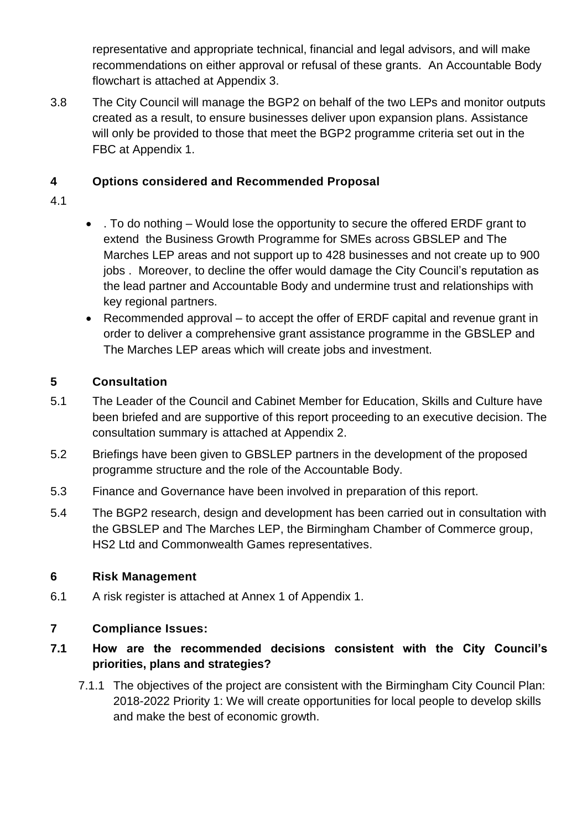representative and appropriate technical, financial and legal advisors, and will make recommendations on either approval or refusal of these grants. An Accountable Body flowchart is attached at Appendix 3.

3.8 The City Council will manage the BGP2 on behalf of the two LEPs and monitor outputs created as a result, to ensure businesses deliver upon expansion plans. Assistance will only be provided to those that meet the BGP2 programme criteria set out in the FBC at Appendix 1.

### **4 Options considered and Recommended Proposal**

- 4.1
- . To do nothing Would lose the opportunity to secure the offered ERDF grant to extend the Business Growth Programme for SMEs across GBSLEP and The Marches LEP areas and not support up to 428 businesses and not create up to 900 jobs . Moreover, to decline the offer would damage the City Council's reputation as the lead partner and Accountable Body and undermine trust and relationships with key regional partners.
- Recommended approval to accept the offer of ERDF capital and revenue grant in order to deliver a comprehensive grant assistance programme in the GBSLEP and The Marches LEP areas which will create jobs and investment.

# **5 Consultation**

- 5.1 The Leader of the Council and Cabinet Member for Education, Skills and Culture have been briefed and are supportive of this report proceeding to an executive decision. The consultation summary is attached at Appendix 2.
- 5.2 Briefings have been given to GBSLEP partners in the development of the proposed programme structure and the role of the Accountable Body.
- 5.3 Finance and Governance have been involved in preparation of this report.
- 5.4 The BGP2 research, design and development has been carried out in consultation with the GBSLEP and The Marches LEP, the Birmingham Chamber of Commerce group, HS2 Ltd and Commonwealth Games representatives.

### **6 Risk Management**

6.1 A risk register is attached at Annex 1 of Appendix 1.

# **7 Compliance Issues:**

# **7.1 How are the recommended decisions consistent with the City Council's priorities, plans and strategies?**

7.1.1 The objectives of the project are consistent with the Birmingham City Council Plan: 2018-2022 Priority 1: We will create opportunities for local people to develop skills and make the best of economic growth.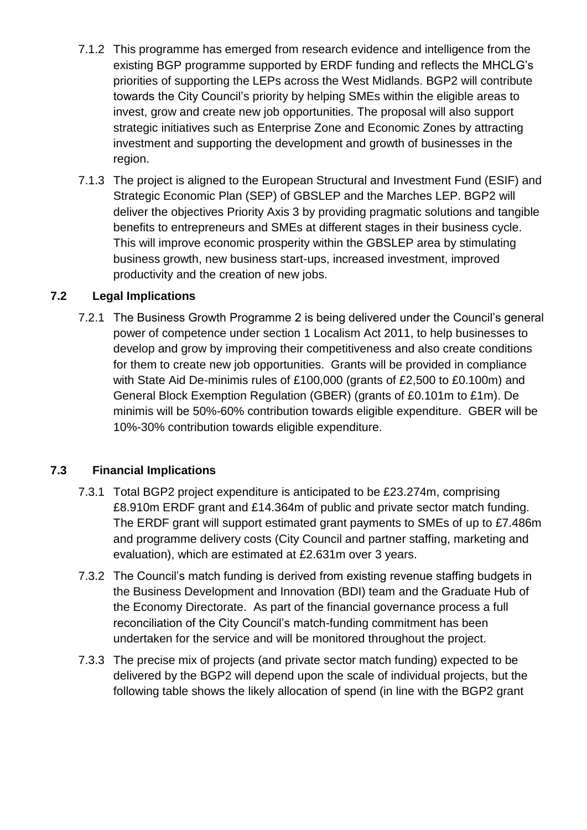- 7.1.2 This programme has emerged from research evidence and intelligence from the existing BGP programme supported by ERDF funding and reflects the MHCLG's priorities of supporting the LEPs across the West Midlands. BGP2 will contribute towards the City Council's priority by helping SMEs within the eligible areas to invest, grow and create new job opportunities. The proposal will also support strategic initiatives such as Enterprise Zone and Economic Zones by attracting investment and supporting the development and growth of businesses in the region.
- 7.1.3 The project is aligned to the European Structural and Investment Fund (ESIF) and Strategic Economic Plan (SEP) of GBSLEP and the Marches LEP. BGP2 will deliver the objectives Priority Axis 3 by providing pragmatic solutions and tangible benefits to entrepreneurs and SMEs at different stages in their business cycle. This will improve economic prosperity within the GBSLEP area by stimulating business growth, new business start-ups, increased investment, improved productivity and the creation of new jobs.

### **7.2 Legal Implications**

7.2.1 The Business Growth Programme 2 is being delivered under the Council's general power of competence under section 1 Localism Act 2011, to help businesses to develop and grow by improving their competitiveness and also create conditions for them to create new job opportunities. Grants will be provided in compliance with State Aid De-minimis rules of £100,000 (grants of £2,500 to £0.100m) and General Block Exemption Regulation (GBER) (grants of £0.101m to £1m). De minimis will be 50%-60% contribution towards eligible expenditure. GBER will be 10%-30% contribution towards eligible expenditure.

### **7.3 Financial Implications**

- 7.3.1 Total BGP2 project expenditure is anticipated to be £23.274m, comprising £8.910m ERDF grant and £14.364m of public and private sector match funding. The ERDF grant will support estimated grant payments to SMEs of up to £7.486m and programme delivery costs (City Council and partner staffing, marketing and evaluation), which are estimated at £2.631m over 3 years.
- 7.3.2 The Council's match funding is derived from existing revenue staffing budgets in the Business Development and Innovation (BDI) team and the Graduate Hub of the Economy Directorate. As part of the financial governance process a full reconciliation of the City Council's match-funding commitment has been undertaken for the service and will be monitored throughout the project.
- 7.3.3 The precise mix of projects (and private sector match funding) expected to be delivered by the BGP2 will depend upon the scale of individual projects, but the following table shows the likely allocation of spend (in line with the BGP2 grant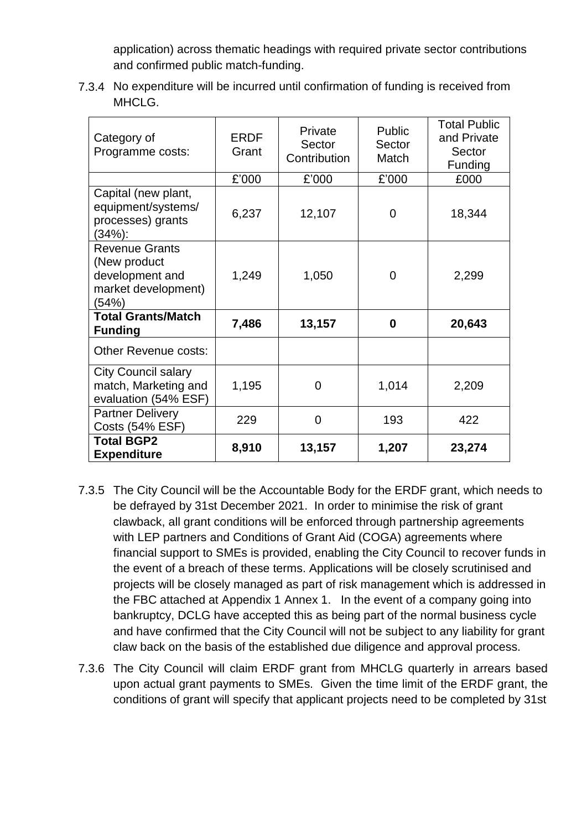application) across thematic headings with required private sector contributions and confirmed public match-funding.

7.3.4 No expenditure will be incurred until confirmation of funding is received from MHCLG.

| Category of<br>Programme costs:                                                          | <b>ERDF</b><br>Grant | Private<br>Sector<br>Contribution | Public<br>Sector<br>Match | <b>Total Public</b><br>and Private<br>Sector<br>Funding |
|------------------------------------------------------------------------------------------|----------------------|-----------------------------------|---------------------------|---------------------------------------------------------|
|                                                                                          | £'000                | £'000                             | £'000                     | £000                                                    |
| Capital (new plant,<br>equipment/systems/<br>processes) grants<br>(34%):                 | 6,237                | 12,107                            | 0                         | 18,344                                                  |
| <b>Revenue Grants</b><br>(New product<br>development and<br>market development)<br>(54%) | 1,249                | 1,050                             | 0                         | 2,299                                                   |
| <b>Total Grants/Match</b><br><b>Funding</b>                                              | 7,486                | 13,157                            | 0                         | 20,643                                                  |
| <b>Other Revenue costs:</b>                                                              |                      |                                   |                           |                                                         |
| <b>City Council salary</b><br>match, Marketing and<br>evaluation (54% ESF)               | 1,195                | $\Omega$                          | 1,014                     | 2,209                                                   |
| <b>Partner Delivery</b><br><b>Costs (54% ESF)</b>                                        | 229                  | 0                                 | 193                       | 422                                                     |
| <b>Total BGP2</b><br><b>Expenditure</b>                                                  | 8,910                | 13,157                            | 1,207                     | 23,274                                                  |

- 7.3.5 The City Council will be the Accountable Body for the ERDF grant, which needs to be defrayed by 31st December 2021. In order to minimise the risk of grant clawback, all grant conditions will be enforced through partnership agreements with LEP partners and Conditions of Grant Aid (COGA) agreements where financial support to SMEs is provided, enabling the City Council to recover funds in the event of a breach of these terms. Applications will be closely scrutinised and projects will be closely managed as part of risk management which is addressed in the FBC attached at Appendix 1 Annex 1. In the event of a company going into bankruptcy, DCLG have accepted this as being part of the normal business cycle and have confirmed that the City Council will not be subject to any liability for grant claw back on the basis of the established due diligence and approval process.
- 7.3.6 The City Council will claim ERDF grant from MHCLG quarterly in arrears based upon actual grant payments to SMEs. Given the time limit of the ERDF grant, the conditions of grant will specify that applicant projects need to be completed by 31st